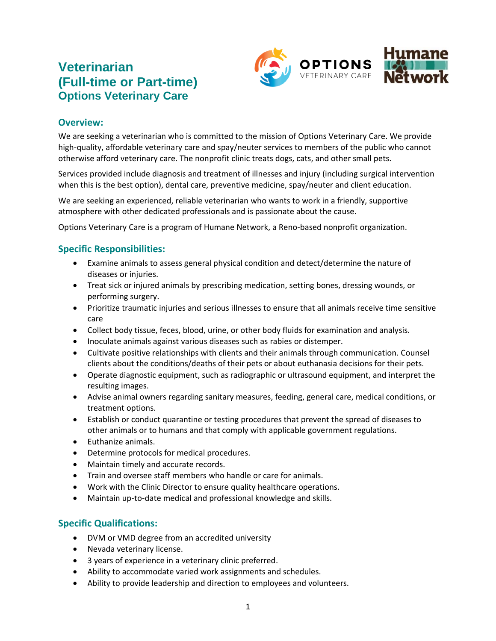# **Veterinarian (Full-time or Part-time) Options Veterinary Care**



#### **Overview:**

We are seeking a veterinarian who is committed to the mission of Options Veterinary Care. We provide high-quality, affordable veterinary care and spay/neuter services to members of the public who cannot otherwise afford veterinary care. The nonprofit clinic treats dogs, cats, and other small pets.

Services provided include diagnosis and treatment of illnesses and injury (including surgical intervention when this is the best option), dental care, preventive medicine, spay/neuter and client education.

We are seeking an experienced, reliable veterinarian who wants to work in a friendly, supportive atmosphere with other dedicated professionals and is passionate about the cause.

Options Veterinary Care is a program of Humane Network, a Reno-based nonprofit organization.

#### **Specific Responsibilities:**

- Examine animals to assess general physical condition and detect/determine the nature of diseases or injuries.
- Treat sick or injured animals by prescribing medication, setting bones, dressing wounds, or performing surgery.
- Prioritize traumatic injuries and serious illnesses to ensure that all animals receive time sensitive care
- Collect body tissue, feces, blood, urine, or other body fluids for examination and analysis.
- Inoculate animals against various diseases such as rabies or distemper.
- Cultivate positive relationships with clients and their animals through communication. Counsel clients about the conditions/deaths of their pets or about euthanasia decisions for their pets.
- Operate diagnostic equipment, such as radiographic or ultrasound equipment, and interpret the resulting images.
- Advise animal owners regarding sanitary measures, feeding, general care, medical conditions, or treatment options.
- Establish or conduct quarantine or testing procedures that prevent the spread of diseases to other animals or to humans and that comply with applicable government regulations.
- Euthanize animals.
- Determine protocols for medical procedures.
- Maintain timely and accurate records.
- Train and oversee staff members who handle or care for animals.
- Work with the Clinic Director to ensure quality healthcare operations.
- Maintain up-to-date medical and professional knowledge and skills.

# **Specific Qualifications:**

- DVM or VMD degree from an accredited university
- Nevada veterinary license.
- 3 years of experience in a veterinary clinic preferred.
- Ability to accommodate varied work assignments and schedules.
- Ability to provide leadership and direction to employees and volunteers.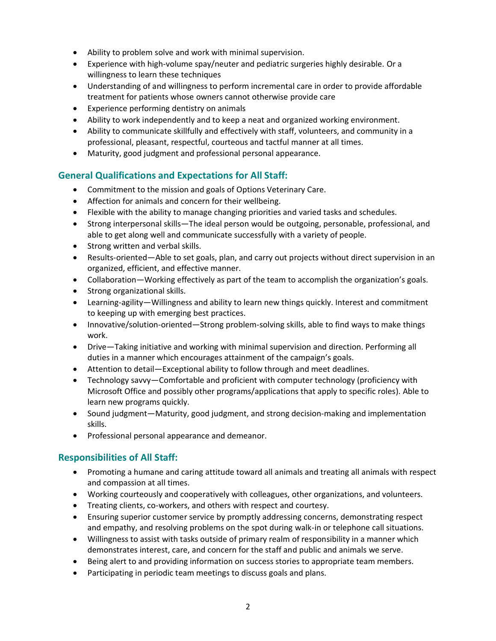- Ability to problem solve and work with minimal supervision.
- Experience with high-volume spay/neuter and pediatric surgeries highly desirable. Or a willingness to learn these techniques
- Understanding of and willingness to perform incremental care in order to provide affordable treatment for patients whose owners cannot otherwise provide care
- Experience performing dentistry on animals
- Ability to work independently and to keep a neat and organized working environment.
- Ability to communicate skillfully and effectively with staff, volunteers, and community in a professional, pleasant, respectful, courteous and tactful manner at all times.
- Maturity, good judgment and professional personal appearance.

### **General Qualifications and Expectations for All Staff:**

- Commitment to the mission and goals of Options Veterinary Care.
- Affection for animals and concern for their wellbeing.
- Flexible with the ability to manage changing priorities and varied tasks and schedules.
- Strong interpersonal skills—The ideal person would be outgoing, personable, professional, and able to get along well and communicate successfully with a variety of people.
- Strong written and verbal skills.
- Results-oriented—Able to set goals, plan, and carry out projects without direct supervision in an organized, efficient, and effective manner.
- Collaboration—Working effectively as part of the team to accomplish the organization's goals.
- Strong organizational skills.
- Learning-agility—Willingness and ability to learn new things quickly. Interest and commitment to keeping up with emerging best practices.
- Innovative/solution-oriented—Strong problem-solving skills, able to find ways to make things work.
- Drive―Taking initiative and working with minimal supervision and direction. Performing all duties in a manner which encourages attainment of the campaign's goals.
- Attention to detail—Exceptional ability to follow through and meet deadlines.
- Technology savvy—Comfortable and proficient with computer technology (proficiency with Microsoft Office and possibly other programs/applications that apply to specific roles). Able to learn new programs quickly.
- Sound judgment—Maturity, good judgment, and strong decision-making and implementation skills.
- Professional personal appearance and demeanor.

# **Responsibilities of All Staff:**

- Promoting a humane and caring attitude toward all animals and treating all animals with respect and compassion at all times.
- Working courteously and cooperatively with colleagues, other organizations, and volunteers.
- Treating clients, co-workers, and others with respect and courtesy.
- Ensuring superior customer service by promptly addressing concerns, demonstrating respect and empathy, and resolving problems on the spot during walk-in or telephone call situations.
- Willingness to assist with tasks outside of primary realm of responsibility in a manner which demonstrates interest, care, and concern for the staff and public and animals we serve.
- Being alert to and providing information on success stories to appropriate team members.
- Participating in periodic team meetings to discuss goals and plans.